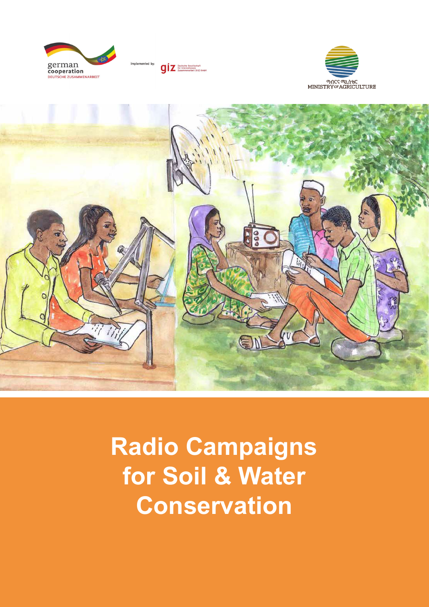







**Radio Campaigns for Soil & Water Conservation**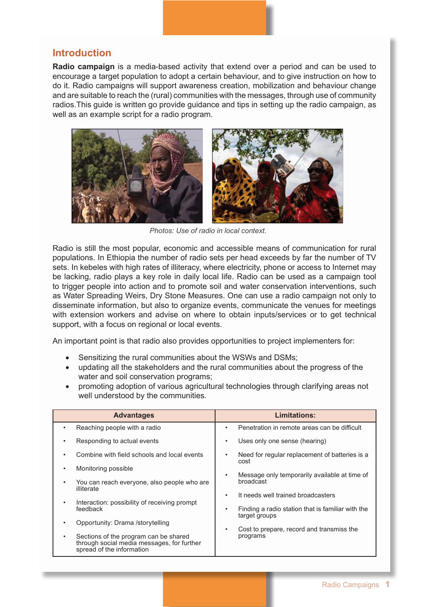## **Introduction**

**Radio campaign** is a media-based activity that extend over a period and can be used to encourage a target population to adopt a certain behaviour, and to give instruction on how to do it. Radio campaigns will support awareness creation, mobilization and behaviour change and are suitable to reach the (rural) communities with the messages, through use of community radios.This guide is written go provide guidance and tips in setting up the radio campaign, as well as an example script for a radio program.



*Photos: Use of radio in local context.*

Radio is still the most popular, economic and accessible means of communication for rural populations. In Ethiopia the number of radio sets per head exceeds by far the number of TV sets. In kebeles with high rates of illiteracy, where electricity, phone or access to Internet may be lacking, radio plays a key role in daily local life. Radio can be used as a campaign tool to trigger people into action and to promote soil and water conservation interventions, such as Water Spreading Weirs, Dry Stone Measures. One can use a radio campaign not only to disseminate information, but also to organize events, communicate the venues for meetings with extension workers and advise on where to obtain inputs/services or to get technical support, with a focus on regional or local events.

An important point is that radio also provides opportunities to project implementers for:

- Sensitizing the rural communities about the WSWs and DSMs;
- updating all the stakeholders and the rural communities about the progress of the water and soil conservation programs;
- promoting adoption of various agricultural technologies through clarifying areas not well understood by the communities.

| <b>Advantages</b>                                                                                                | Limitations:                                                            |
|------------------------------------------------------------------------------------------------------------------|-------------------------------------------------------------------------|
| Reaching people with a radio                                                                                     | Penetration in remote areas can be difficult<br>٠                       |
| Responding to actual events                                                                                      | Uses only one sense (hearing)<br>٠                                      |
| Combine with field schools and local events                                                                      | Need for regular replacement of batteries is a<br>٠<br>cost             |
| Monitoring possible<br>٠                                                                                         | Message only temporarily available at time of                           |
| You can reach everyone, also people who are<br>illiterate                                                        | broadcast                                                               |
| Interaction: possibility of receiving prompt                                                                     | It needs well trained broadcasters<br>٠                                 |
| feedback                                                                                                         | Finding a radio station that is familiar with the<br>٠<br>target groups |
| Opportunity: Drama /storytelling                                                                                 | Cost to prepare, record and transmiss the<br>٠                          |
| Sections of the program can be shared<br>through social media messages, for further<br>spread of the information | programs                                                                |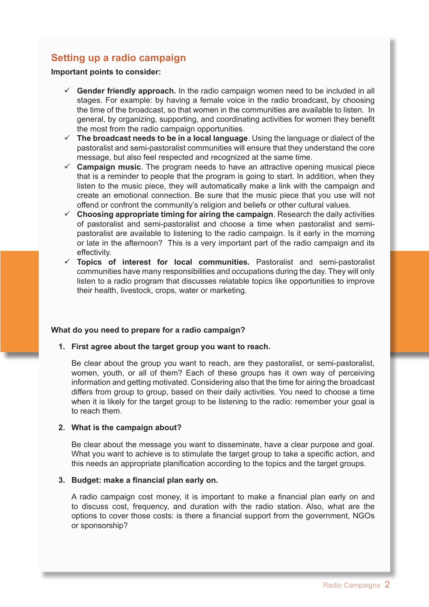# **Setting up a radio campaign**

**Important points to consider:**

- **Gender friendly approach.** In the radio campaign women need to be included in all stages. For example: by having a female voice in the radio broadcast, by choosing the time of the broadcast, so that women in the communities are available to listen. In general, by organizing, supporting, and coordinating activities for women they benefit the most from the radio campaign opportunities.
- **The broadcast needs to be in a local language**. Using the language or dialect of the pastoralist and semi-pastoralist communities will ensure that they understand the core message, but also feel respected and recognized at the same time.
- **Campaign music**. The program needs to have an attractive opening musical piece that is a reminder to people that the program is going to start. In addition, when they listen to the music piece, they will automatically make a link with the campaign and create an emotional connection. Be sure that the music piece that you use will not offend or confront the community's religion and beliefs or other cultural values.
- **Choosing appropriate timing for airing the campaign**. Research the daily activities of pastoralist and semi-pastoralist and choose a time when pastoralist and semipastoralist are available to listening to the radio campaign. Is it early in the morning or late in the afternoon? This is a very important part of the radio campaign and its effectivity.
- **Topics of interest for local communities.** Pastoralist and semi-pastoralist communities have many responsibilities and occupations during the day. They will only listen to a radio program that discusses relatable topics like opportunities to improve their health, livestock, crops, water or marketing.

## **What do you need to prepare for a radio campaign?**

**1. First agree about the target group you want to reach.**

Be clear about the group you want to reach, are they pastoralist, or semi-pastoralist, women, youth, or all of them? Each of these groups has it own way of perceiving information and getting motivated. Considering also that the time for airing the broadcast differs from group to group, based on their daily activities. You need to choose a time when it is likely for the target group to be listening to the radio: remember your goal is to reach them.

## **2. What is the campaign about?**

Be clear about the message you want to disseminate, have a clear purpose and goal. What you want to achieve is to stimulate the target group to take a specific action, and this needs an appropriate planification according to the topics and the target groups.

#### **3. Budget: make a financial plan early on.**

A radio campaign cost money, it is important to make a financial plan early on and to discuss cost, frequency, and duration with the radio station. Also, what are the options to cover those costs: is there a financial support from the government, NGOs or sponsorship?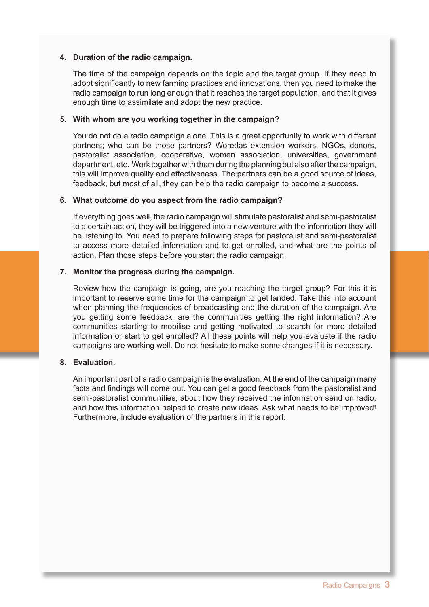## **4. Duration of the radio campaign.**

The time of the campaign depends on the topic and the target group. If they need to adopt significantly to new farming practices and innovations, then you need to make the radio campaign to run long enough that it reaches the target population, and that it gives enough time to assimilate and adopt the new practice.

#### **5. With whom are you working together in the campaign?**

You do not do a radio campaign alone. This is a great opportunity to work with different partners; who can be those partners? Woredas extension workers, NGOs, donors, pastoralist association, cooperative, women association, universities, government department, etc. Work together with them during the planning but also after the campaign, this will improve quality and effectiveness. The partners can be a good source of ideas, feedback, but most of all, they can help the radio campaign to become a success.

#### **6. What outcome do you aspect from the radio campaign?**

If everything goes well, the radio campaign will stimulate pastoralist and semi-pastoralist to a certain action, they will be triggered into a new venture with the information they will be listening to. You need to prepare following steps for pastoralist and semi-pastoralist to access more detailed information and to get enrolled, and what are the points of action. Plan those steps before you start the radio campaign.

## **7. Monitor the progress during the campaign.**

Review how the campaign is going, are you reaching the target group? For this it is important to reserve some time for the campaign to get landed. Take this into account when planning the frequencies of broadcasting and the duration of the campaign. Are you getting some feedback, are the communities getting the right information? Are communities starting to mobilise and getting motivated to search for more detailed information or start to get enrolled? All these points will help you evaluate if the radio campaigns are working well. Do not hesitate to make some changes if it is necessary.

## **8. Evaluation.**

An important part of a radio campaign is the evaluation. At the end of the campaign many facts and findings will come out. You can get a good feedback from the pastoralist and semi-pastoralist communities, about how they received the information send on radio, and how this information helped to create new ideas. Ask what needs to be improved! Furthermore, include evaluation of the partners in this report.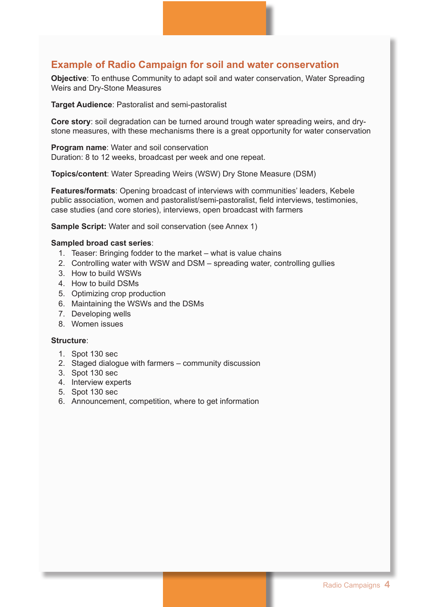## **Example of Radio Campaign for soil and water conservation**

**Objective**: To enthuse Community to adapt soil and water conservation, Water Spreading Weirs and Dry-Stone Measures

**Target Audience**: Pastoralist and semi-pastoralist

**Core story**: soil degradation can be turned around trough water spreading weirs, and drystone measures, with these mechanisms there is a great opportunity for water conservation

**Program name:** Water and soil conservation Duration: 8 to 12 weeks, broadcast per week and one repeat.

**Topics/content**: Water Spreading Weirs (WSW) Dry Stone Measure (DSM)

**Features/formats**: Opening broadcast of interviews with communities' leaders, Kebele public association, women and pastoralist/semi-pastoralist, field interviews, testimonies, case studies (and core stories), interviews, open broadcast with farmers

**Sample Script:** Water and soil conservation (see Annex 1)

#### **Sampled broad cast series**:

- 1. Teaser: Bringing fodder to the market what is value chains
- 2. Controlling water with WSW and DSM spreading water, controlling gullies
- 3. How to build WSWs
- 4. How to build DSMs
- 5. Optimizing crop production
- 6. Maintaining the WSWs and the DSMs
- 7. Developing wells
- 8. Women issues

#### **Structure**:

- 1. Spot 130 sec
- 2. Staged dialogue with farmers community discussion
- 3. Spot 130 sec
- 4. Interview experts
- 5. Spot 130 sec
- 6. Announcement, competition, where to get information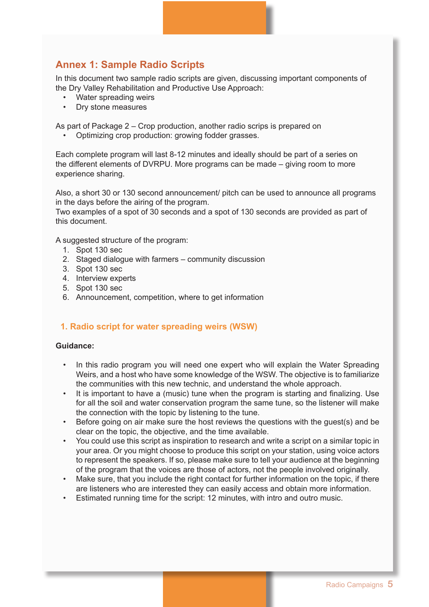# **Annex 1: Sample Radio Scripts**

In this document two sample radio scripts are given, discussing important components of the Dry Valley Rehabilitation and Productive Use Approach:

- Water spreading weirs
- Dry stone measures

As part of Package 2 – Crop production, another radio scrips is prepared on

• Optimizing crop production: growing fodder grasses.

Each complete program will last 8-12 minutes and ideally should be part of a series on the different elements of DVRPU. More programs can be made – giving room to more experience sharing.

Also, a short 30 or 130 second announcement/ pitch can be used to announce all programs in the days before the airing of the program.

Two examples of a spot of 30 seconds and a spot of 130 seconds are provided as part of this document.

A suggested structure of the program:

- 1. Spot 130 sec
- 2. Staged dialogue with farmers community discussion
- 3. Spot 130 sec
- 4. Interview experts
- 5. Spot 130 sec
- 6. Announcement, competition, where to get information

## **1. Radio script for water spreading weirs (WSW)**

## **Guidance:**

- In this radio program you will need one expert who will explain the Water Spreading Weirs, and a host who have some knowledge of the WSW. The objective is to familiarize the communities with this new technic, and understand the whole approach.
- It is important to have a (music) tune when the program is starting and finalizing. Use for all the soil and water conservation program the same tune, so the listener will make the connection with the topic by listening to the tune.
- Before going on air make sure the host reviews the questions with the guest(s) and be clear on the topic, the objective, and the time available.
- You could use this script as inspiration to research and write a script on a similar topic in your area. Or you might choose to produce this script on your station, using voice actors to represent the speakers. If so, please make sure to tell your audience at the beginning of the program that the voices are those of actors, not the people involved originally.
- Make sure, that you include the right contact for further information on the topic, if there are listeners who are interested they can easily access and obtain more information.
- Estimated running time for the script: 12 minutes, with intro and outro music.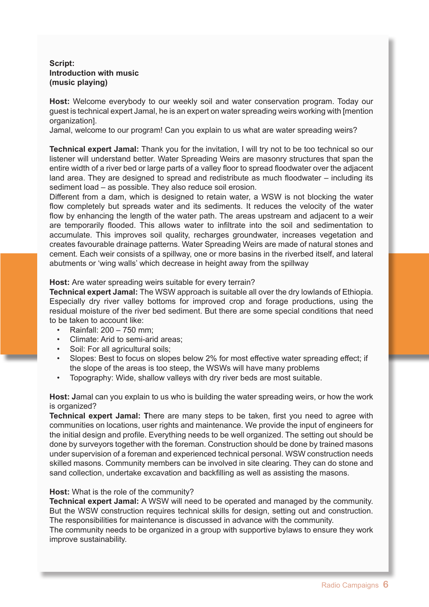## **Script: Introduction with music (music playing)**

**Host:** Welcome everybody to our weekly soil and water conservation program. Today our guest is technical expert Jamal, he is an expert on water spreading weirs working with [mention organization].

Jamal, welcome to our program! Can you explain to us what are water spreading weirs?

**Technical expert Jamal:** Thank you for the invitation, I will try not to be too technical so our listener will understand better. Water Spreading Weirs are masonry structures that span the entire width of a river bed or large parts of a valley floor to spread floodwater over the adjacent land area. They are designed to spread and redistribute as much floodwater – including its sediment load – as possible. They also reduce soil erosion.

Different from a dam, which is designed to retain water, a WSW is not blocking the water flow completely but spreads water and its sediments. It reduces the velocity of the water flow by enhancing the length of the water path. The areas upstream and adjacent to a weir are temporarily flooded. This allows water to infiltrate into the soil and sedimentation to accumulate. This improves soil quality, recharges groundwater, increases vegetation and creates favourable drainage patterns. Water Spreading Weirs are made of natural stones and cement. Each weir consists of a spillway, one or more basins in the riverbed itself, and lateral abutments or 'wing walls' which decrease in height away from the spillway

#### **Host:** Are water spreading weirs suitable for every terrain?

**Technical expert Jamal:** The WSW approach is suitable all over the dry lowlands of Ethiopia. Especially dry river valley bottoms for improved crop and forage productions, using the residual moisture of the river bed sediment. But there are some special conditions that need to be taken to account like:

- Rainfall: 200 750 mm;
- Climate: Arid to semi-arid areas:
- Soil: For all agricultural soils;
- Slopes: Best to focus on slopes below 2% for most effective water spreading effect; if the slope of the areas is too steep, the WSWs will have many problems
- Topography: Wide, shallow valleys with dry river beds are most suitable.

**Host: J**amal can you explain to us who is building the water spreading weirs, or how the work is organized?

**Technical expert Jamal: T**here are many steps to be taken, first you need to agree with communities on locations, user rights and maintenance. We provide the input of engineers for the initial design and profile. Everything needs to be well organized. The setting out should be done by surveyors together with the foreman. Construction should be done by trained masons under supervision of a foreman and experienced technical personal. WSW construction needs skilled masons. Community members can be involved in site clearing. They can do stone and sand collection, undertake excavation and backfilling as well as assisting the masons.

#### **Host:** What is the role of the community?

**Technical expert Jamal:** A WSW will need to be operated and managed by the community. But the WSW construction requires technical skills for design, setting out and construction. The responsibilities for maintenance is discussed in advance with the community.

The community needs to be organized in a group with supportive bylaws to ensure they work improve sustainability.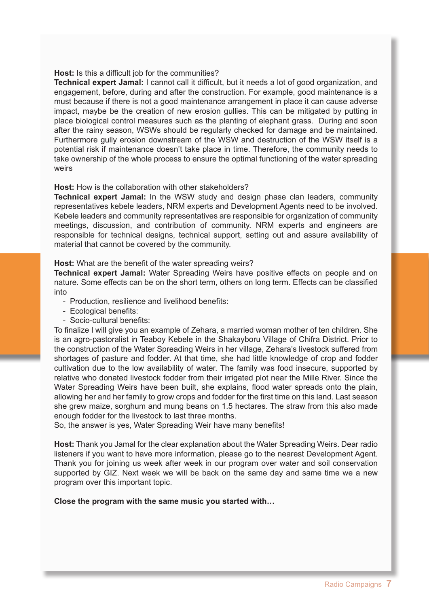#### **Host:** Is this a difficult job for the communities?

**Technical expert Jamal:** I cannot call it difficult, but it needs a lot of good organization, and engagement, before, during and after the construction. For example, good maintenance is a must because if there is not a good maintenance arrangement in place it can cause adverse impact, maybe be the creation of new erosion gullies. This can be mitigated by putting in place biological control measures such as the planting of elephant grass. During and soon after the rainy season, WSWs should be regularly checked for damage and be maintained. Furthermore gully erosion downstream of the WSW and destruction of the WSW itself is a potential risk if maintenance doesn't take place in time. Therefore, the community needs to take ownership of the whole process to ensure the optimal functioning of the water spreading weirs

#### **Host:** How is the collaboration with other stakeholders?

**Technical expert Jamal:** In the WSW study and design phase clan leaders, community representatives kebele leaders, NRM experts and Development Agents need to be involved. Kebele leaders and community representatives are responsible for organization of community meetings, discussion, and contribution of community. NRM experts and engineers are responsible for technical designs, technical support, setting out and assure availability of material that cannot be covered by the community.

#### **Host:** What are the benefit of the water spreading weirs?

**Technical expert Jamal:** Water Spreading Weirs have positive effects on people and on nature. Some effects can be on the short term, others on long term. Effects can be classified into

- Production, resilience and livelihood benefits:
- Ecological benefits:
- Socio-cultural benefits:

To finalize I will give you an example of Zehara, a married woman mother of ten children. She is an agro-pastoralist in Teaboy Kebele in the Shakayboru Village of Chifra District. Prior to the construction of the Water Spreading Weirs in her village, Zehara's livestock suffered from shortages of pasture and fodder. At that time, she had little knowledge of crop and fodder cultivation due to the low availability of water. The family was food insecure, supported by relative who donated livestock fodder from their irrigated plot near the Mille River. Since the Water Spreading Weirs have been built, she explains, flood water spreads onto the plain, allowing her and her family to grow crops and fodder for the first time on this land. Last season she grew maize, sorghum and mung beans on 1.5 hectares. The straw from this also made enough fodder for the livestock to last three months.

So, the answer is yes, Water Spreading Weir have many benefits!

**Host:** Thank you Jamal for the clear explanation about the Water Spreading Weirs. Dear radio listeners if you want to have more information, please go to the nearest Development Agent. Thank you for joining us week after week in our program over water and soil conservation supported by GIZ. Next week we will be back on the same day and same time we a new program over this important topic.

## **Close the program with the same music you started with…**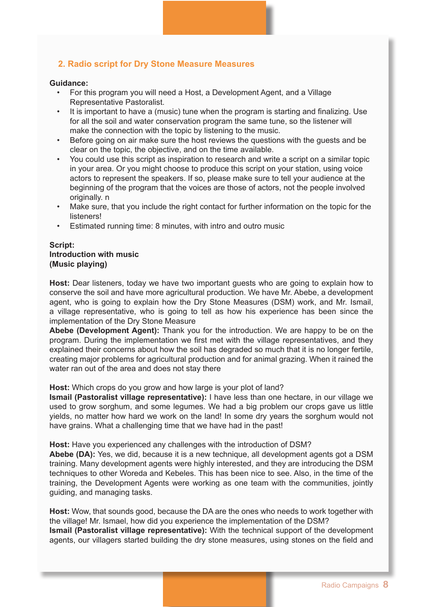## **2. Radio script for Dry Stone Measure Measures**

#### **Guidance:**

- For this program you will need a Host, a Development Agent, and a Village Representative Pastoralist.
- It is important to have a (music) tune when the program is starting and finalizing. Use for all the soil and water conservation program the same tune, so the listener will make the connection with the topic by listening to the music.
- Before going on air make sure the host reviews the questions with the guests and be clear on the topic, the objective, and on the time available.
- You could use this script as inspiration to research and write a script on a similar topic in your area. Or you might choose to produce this script on your station, using voice actors to represent the speakers. If so, please make sure to tell your audience at the beginning of the program that the voices are those of actors, not the people involved originally. n
- Make sure, that you include the right contact for further information on the topic for the listeners!
- Estimated running time: 8 minutes, with intro and outro music

### **Script: Introduction with music (Music playing)**

**Host:** Dear listeners, today we have two important guests who are going to explain how to conserve the soil and have more agricultural production. We have Mr. Abebe, a development agent, who is going to explain how the Dry Stone Measures (DSM) work, and Mr. Ismail, a village representative, who is going to tell as how his experience has been since the implementation of the Dry Stone Measure

**Abebe (Development Agent):** Thank you for the introduction. We are happy to be on the program. During the implementation we first met with the village representatives, and they explained their concerns about how the soil has degraded so much that it is no longer fertile, creating major problems for agricultural production and for animal grazing. When it rained the water ran out of the area and does not stay there

#### **Host:** Which crops do you grow and how large is your plot of land?

**Ismail (Pastoralist village representative):** I have less than one hectare, in our village we used to grow sorghum, and some legumes. We had a big problem our crops gave us little yields, no matter how hard we work on the land! In some dry years the sorghum would not have grains. What a challenging time that we have had in the past!

#### **Host:** Have you experienced any challenges with the introduction of DSM?

**Abebe (DA):** Yes, we did, because it is a new technique, all development agents got a DSM training. Many development agents were highly interested, and they are introducing the DSM techniques to other Woreda and Kebeles. This has been nice to see. Also, in the time of the training, the Development Agents were working as one team with the communities, jointly guiding, and managing tasks.

**Host:** Wow, that sounds good, because the DA are the ones who needs to work together with the village! Mr. Ismael, how did you experience the implementation of the DSM? **Ismail (Pastoralist village representative):** With the technical support of the development agents, our villagers started building the dry stone measures, using stones on the field and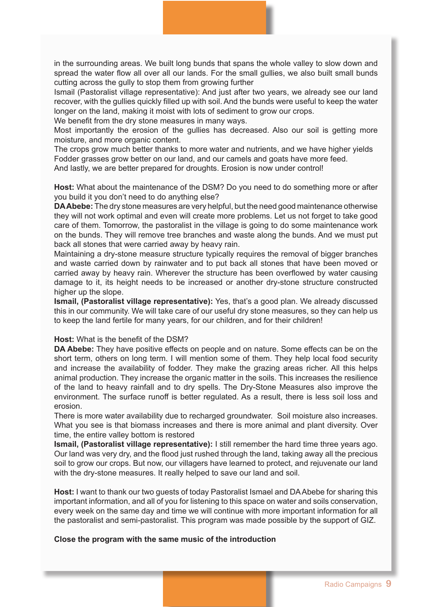in the surrounding areas. We built long bunds that spans the whole valley to slow down and spread the water flow all over all our lands. For the small gullies, we also built small bunds cutting across the gully to stop them from growing further

Ismail (Pastoralist village representative): And just after two years, we already see our land recover, with the gullies quickly filled up with soil. And the bunds were useful to keep the water longer on the land, making it moist with lots of sediment to grow our crops.

We benefit from the dry stone measures in many ways.

Most importantly the erosion of the gullies has decreased. Also our soil is getting more moisture, and more organic content.

The crops grow much better thanks to more water and nutrients, and we have higher yields Fodder grasses grow better on our land, and our camels and goats have more feed. And lastly, we are better prepared for droughts. Erosion is now under control!

**Host:** What about the maintenance of the DSM? Do you need to do something more or after you build it you don't need to do anything else?

**DA Abebe:** The dry stone measures are very helpful, but the need good maintenance otherwise they will not work optimal and even will create more problems. Let us not forget to take good care of them. Tomorrow, the pastoralist in the village is going to do some maintenance work on the bunds. They will remove tree branches and waste along the bunds. And we must put back all stones that were carried away by heavy rain.

Maintaining a dry-stone measure structure typically requires the removal of bigger branches and waste carried down by rainwater and to put back all stones that have been moved or carried away by heavy rain. Wherever the structure has been overflowed by water causing damage to it, its height needs to be increased or another dry-stone structure constructed higher up the slope.

**Ismail, (Pastoralist village representative):** Yes, that's a good plan. We already discussed this in our community. We will take care of our useful dry stone measures, so they can help us to keep the land fertile for many years, for our children, and for their children!

#### **Host:** What is the benefit of the DSM?

**DA Abebe:** They have positive effects on people and on nature. Some effects can be on the short term, others on long term. I will mention some of them. They help local food security and increase the availability of fodder. They make the grazing areas richer. All this helps animal production. They increase the organic matter in the soils. This increases the resilience of the land to heavy rainfall and to dry spells. The Dry-Stone Measures also improve the environment. The surface runoff is better regulated. As a result, there is less soil loss and erosion.

There is more water availability due to recharged groundwater. Soil moisture also increases. What you see is that biomass increases and there is more animal and plant diversity. Over time, the entire valley bottom is restored

**Ismail, (Pastoralist village representative):** I still remember the hard time three years ago. Our land was very dry, and the flood just rushed through the land, taking away all the precious soil to grow our crops. But now, our villagers have learned to protect, and rejuvenate our land with the dry-stone measures. It really helped to save our land and soil.

**Host:** I want to thank our two guests of today Pastoralist Ismael and DA Abebe for sharing this important information, and all of you for listening to this space on water and soils conservation, every week on the same day and time we will continue with more important information for all the pastoralist and semi-pastoralist. This program was made possible by the support of GIZ.

#### **Close the program with the same music of the introduction**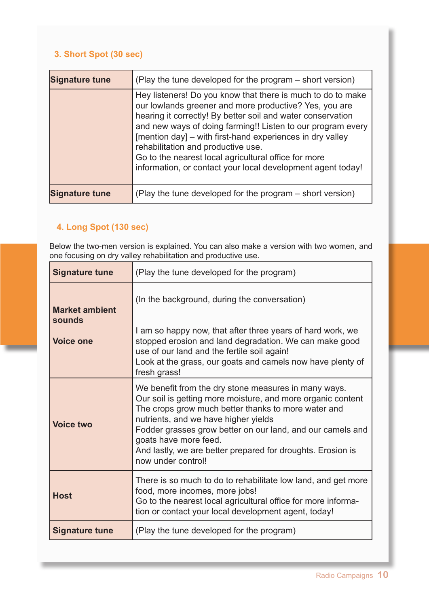# **3. Short Spot (30 sec)**

| <b>Signature tune</b> | (Play the tune developed for the program – short version)                                                                                                                                                                                                                                                                                                                                                                                                                     |
|-----------------------|-------------------------------------------------------------------------------------------------------------------------------------------------------------------------------------------------------------------------------------------------------------------------------------------------------------------------------------------------------------------------------------------------------------------------------------------------------------------------------|
|                       | Hey listeners! Do you know that there is much to do to make<br>our lowlands greener and more productive? Yes, you are<br>hearing it correctly! By better soil and water conservation<br>and new ways of doing farming!! Listen to our program every<br>[mention day] – with first-hand experiences in dry valley<br>rehabilitation and productive use.<br>Go to the nearest local agricultural office for more<br>information, or contact your local development agent today! |
| <b>Signature tune</b> | (Play the tune developed for the program – short version)                                                                                                                                                                                                                                                                                                                                                                                                                     |

# **4. Long Spot (130 sec)**

Below the two-men version is explained. You can also make a version with two women, and one focusing on dry valley rehabilitation and productive use.

| <b>Signature tune</b>                               | (Play the tune developed for the program)                                                                                                                                                                                                                                                                                                                                                      |
|-----------------------------------------------------|------------------------------------------------------------------------------------------------------------------------------------------------------------------------------------------------------------------------------------------------------------------------------------------------------------------------------------------------------------------------------------------------|
| <b>Market ambient</b><br>sounds<br><b>Voice one</b> | (In the background, during the conversation)<br>I am so happy now, that after three years of hard work, we<br>stopped erosion and land degradation. We can make good<br>use of our land and the fertile soil again!<br>Look at the grass, our goats and camels now have plenty of<br>fresh grass!                                                                                              |
| <b>Voice two</b>                                    | We benefit from the dry stone measures in many ways.<br>Our soil is getting more moisture, and more organic content<br>The crops grow much better thanks to more water and<br>nutrients, and we have higher yields<br>Fodder grasses grow better on our land, and our camels and<br>goats have more feed.<br>And lastly, we are better prepared for droughts. Erosion is<br>now under control! |
| <b>Host</b>                                         | There is so much to do to rehabilitate low land, and get more<br>food, more incomes, more jobs!<br>Go to the nearest local agricultural office for more informa-<br>tion or contact your local development agent, today!                                                                                                                                                                       |
| <b>Signature tune</b>                               | (Play the tune developed for the program)                                                                                                                                                                                                                                                                                                                                                      |